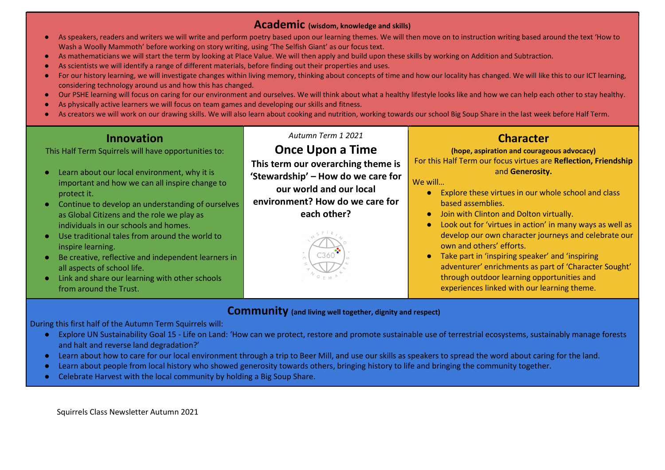#### Academic (wisdom, knowledge and skills)

- As speakers, readers and writers we will write and perform poetry based upon our learning themes. We will then move on to instruction writing based around the text 'How to Wash a Woolly Mammoth' before working on story writing, using 'The Selfish Giant' as our focus text.
- As mathematicians we will start the term by looking at Place Value. We will then apply and build upon these skills by working on Addition and Subtraction.
- As scientists we will identify a range of different materials, before finding out their properties and uses.
- For our history learning, we will investigate changes within living memory, thinking about concepts of time and how our locality has changed. We will like this to our ICT learning, considering technology around us and how this has changed.
- Our PSHE learning will focus on caring for our environment and ourselves. We will think about what a healthy lifestyle looks like and how we can help each other to stay healthy.
- As physically active learners we will focus on team games and developing our skills and fitness.
- As creators we will work on our drawing skills. We will also learn about cooking and nutrition, working towards our school Big Soup Share in the last week before Half Term.

### Innovation

This Half Term Squirrels will have opportunities to:

- Learn about our local environment, why it is important and how we can all inspire change to protect it.
- Continue to develop an understanding of ourselves as Global Citizens and the role we play as individuals in our schools and homes.
- Use traditional tales from around the world to inspire learning.
- Be creative, reflective and independent learners in all aspects of school life.
- Link and share our learning with other schools from around the Trust.

Autumn Term 1 2021

# Once Upon a Time

This term our overarching theme is 'Stewardship' – How do we care for our world and our local environment? How do we care for each other?



## **Character**

### (hope, aspiration and courageous advocacy)

For this Half Term our focus virtues are Reflection, Friendship and Generosity.

We will…

- Explore these virtues in our whole school and class based assemblies.
- **Join with Clinton and Dolton virtually.**
- Look out for 'virtues in action' in many ways as well as develop our own character journeys and celebrate our own and others' efforts.
- Take part in 'inspiring speaker' and 'inspiring adventurer' enrichments as part of 'Character Sought' through outdoor learning opportunities and experiences linked with our learning theme.

### Community (and living well together, dignity and respect)

During this first half of the Autumn Term Squirrels will:

- Explore UN Sustainability Goal 15 Life on Land: 'How can we protect, restore and promote sustainable use of terrestrial ecosystems, sustainably manage forests and halt and reverse land degradation?'
- Learn about how to care for our local environment through a trip to Beer Mill, and use our skills as speakers to spread the word about caring for the land.
- Learn about people from local history who showed generosity towards others, bringing history to life and bringing the community together.
- Celebrate Harvest with the local community by holding a Big Soup Share.

Squirrels Class Newsletter Autumn 2021